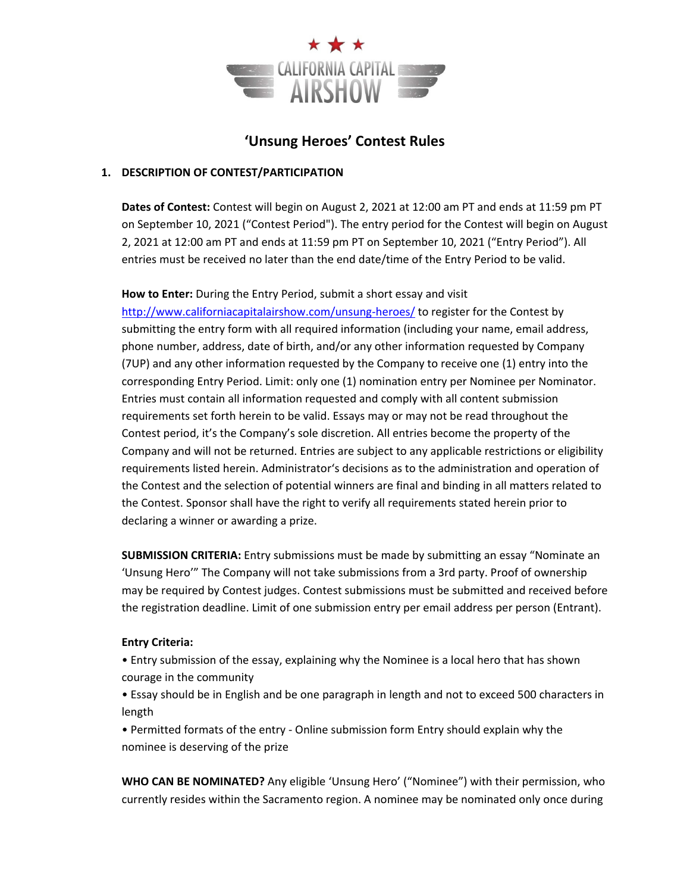

## **'Unsung Heroes' Contest Rules**

#### **1. DESCRIPTION OF CONTEST/PARTICIPATION**

**Dates of Contest:** Contest will begin on August 2, 2021 at 12:00 am PT and ends at 11:59 pm PT on September 10, 2021 ("Contest Period"). The entry period for the Contest will begin on August 2, 2021 at 12:00 am PT and ends at 11:59 pm PT on September 10, 2021 ("Entry Period"). All entries must be received no later than the end date/time of the Entry Period to be valid.

#### **How to Enter:** During the Entry Period, submit a short essay and visit

http://www.californiacapitalairshow.com/unsung-heroes/ to register for the Contest by submitting the entry form with all required information (including your name, email address, phone number, address, date of birth, and/or any other information requested by Company (7UP) and any other information requested by the Company to receive one (1) entry into the corresponding Entry Period. Limit: only one (1) nomination entry per Nominee per Nominator. Entries must contain all information requested and comply with all content submission requirements set forth herein to be valid. Essays may or may not be read throughout the Contest period, it's the Company's sole discretion. All entries become the property of the Company and will not be returned. Entries are subject to any applicable restrictions or eligibility requirements listed herein. Administrator's decisions as to the administration and operation of the Contest and the selection of potential winners are final and binding in all matters related to the Contest. Sponsor shall have the right to verify all requirements stated herein prior to declaring a winner or awarding a prize.

**SUBMISSION CRITERIA:** Entry submissions must be made by submitting an essay "Nominate an 'Unsung Hero'" The Company will not take submissions from a 3rd party. Proof of ownership may be required by Contest judges. Contest submissions must be submitted and received before the registration deadline. Limit of one submission entry per email address per person (Entrant).

#### **Entry Criteria:**

• Entry submission of the essay, explaining why the Nominee is a local hero that has shown courage in the community

• Essay should be in English and be one paragraph in length and not to exceed 500 characters in length

• Permitted formats of the entry ‐ Online submission form Entry should explain why the nominee is deserving of the prize

**WHO CAN BE NOMINATED?** Any eligible 'Unsung Hero' ("Nominee") with their permission, who currently resides within the Sacramento region. A nominee may be nominated only once during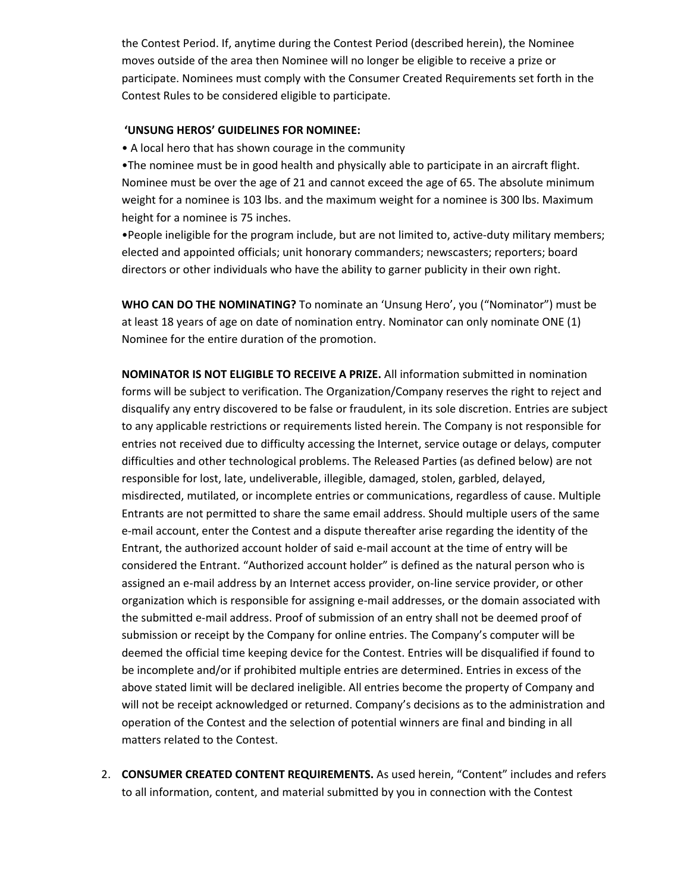the Contest Period. If, anytime during the Contest Period (described herein), the Nominee moves outside of the area then Nominee will no longer be eligible to receive a prize or participate. Nominees must comply with the Consumer Created Requirements set forth in the Contest Rules to be considered eligible to participate.

#### **'UNSUNG HEROS' GUIDELINES FOR NOMINEE:**

• A local hero that has shown courage in the community

•The nominee must be in good health and physically able to participate in an aircraft flight. Nominee must be over the age of 21 and cannot exceed the age of 65. The absolute minimum weight for a nominee is 103 lbs. and the maximum weight for a nominee is 300 lbs. Maximum height for a nominee is 75 inches.

•People ineligible for the program include, but are not limited to, active-duty military members; elected and appointed officials; unit honorary commanders; newscasters; reporters; board directors or other individuals who have the ability to garner publicity in their own right.

**WHO CAN DO THE NOMINATING?** To nominate an 'Unsung Hero', you ("Nominator") must be at least 18 years of age on date of nomination entry. Nominator can only nominate ONE (1) Nominee for the entire duration of the promotion.

**NOMINATOR IS NOT ELIGIBLE TO RECEIVE A PRIZE.** All information submitted in nomination forms will be subject to verification. The Organization/Company reserves the right to reject and disqualify any entry discovered to be false or fraudulent, in its sole discretion. Entries are subject to any applicable restrictions or requirements listed herein. The Company is not responsible for entries not received due to difficulty accessing the Internet, service outage or delays, computer difficulties and other technological problems. The Released Parties (as defined below) are not responsible for lost, late, undeliverable, illegible, damaged, stolen, garbled, delayed, misdirected, mutilated, or incomplete entries or communications, regardless of cause. Multiple Entrants are not permitted to share the same email address. Should multiple users of the same e‐mail account, enter the Contest and a dispute thereafter arise regarding the identity of the Entrant, the authorized account holder of said e‐mail account at the time of entry will be considered the Entrant. "Authorized account holder" is defined as the natural person who is assigned an e-mail address by an Internet access provider, on-line service provider, or other organization which is responsible for assigning e‐mail addresses, or the domain associated with the submitted e‐mail address. Proof of submission of an entry shall not be deemed proof of submission or receipt by the Company for online entries. The Company's computer will be deemed the official time keeping device for the Contest. Entries will be disqualified if found to be incomplete and/or if prohibited multiple entries are determined. Entries in excess of the above stated limit will be declared ineligible. All entries become the property of Company and will not be receipt acknowledged or returned. Company's decisions as to the administration and operation of the Contest and the selection of potential winners are final and binding in all matters related to the Contest.

2. **CONSUMER CREATED CONTENT REQUIREMENTS.** As used herein, "Content" includes and refers to all information, content, and material submitted by you in connection with the Contest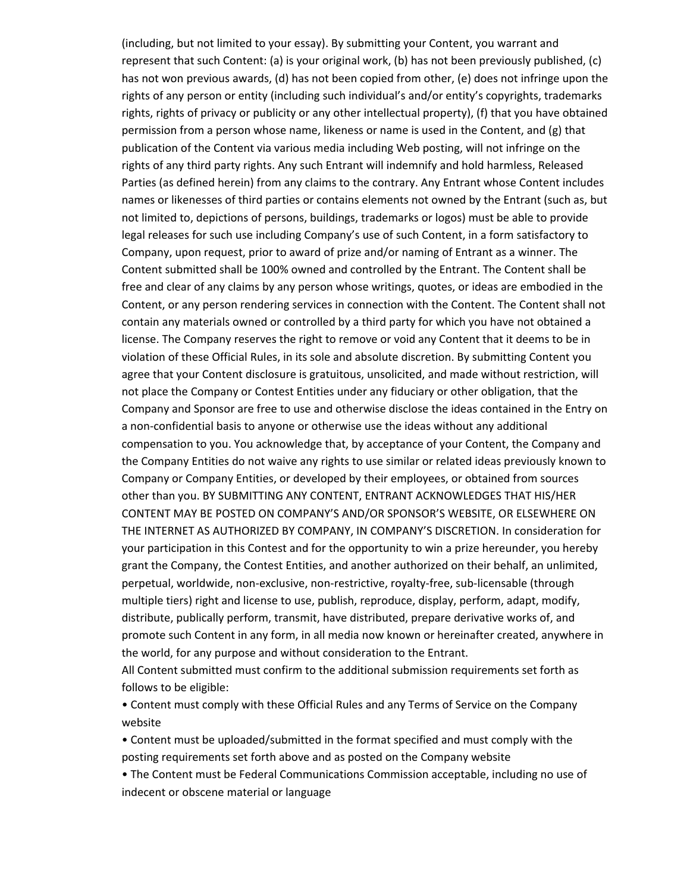(including, but not limited to your essay). By submitting your Content, you warrant and represent that such Content: (a) is your original work, (b) has not been previously published, (c) has not won previous awards, (d) has not been copied from other, (e) does not infringe upon the rights of any person or entity (including such individual's and/or entity's copyrights, trademarks rights, rights of privacy or publicity or any other intellectual property), (f) that you have obtained permission from a person whose name, likeness or name is used in the Content, and (g) that publication of the Content via various media including Web posting, will not infringe on the rights of any third party rights. Any such Entrant will indemnify and hold harmless, Released Parties (as defined herein) from any claims to the contrary. Any Entrant whose Content includes names or likenesses of third parties or contains elements not owned by the Entrant (such as, but not limited to, depictions of persons, buildings, trademarks or logos) must be able to provide legal releases for such use including Company's use of such Content, in a form satisfactory to Company, upon request, prior to award of prize and/or naming of Entrant as a winner. The Content submitted shall be 100% owned and controlled by the Entrant. The Content shall be free and clear of any claims by any person whose writings, quotes, or ideas are embodied in the Content, or any person rendering services in connection with the Content. The Content shall not contain any materials owned or controlled by a third party for which you have not obtained a license. The Company reserves the right to remove or void any Content that it deems to be in violation of these Official Rules, in its sole and absolute discretion. By submitting Content you agree that your Content disclosure is gratuitous, unsolicited, and made without restriction, will not place the Company or Contest Entities under any fiduciary or other obligation, that the Company and Sponsor are free to use and otherwise disclose the ideas contained in the Entry on a non‐confidential basis to anyone or otherwise use the ideas without any additional compensation to you. You acknowledge that, by acceptance of your Content, the Company and the Company Entities do not waive any rights to use similar or related ideas previously known to Company or Company Entities, or developed by their employees, or obtained from sources other than you. BY SUBMITTING ANY CONTENT, ENTRANT ACKNOWLEDGES THAT HIS/HER CONTENT MAY BE POSTED ON COMPANY'S AND/OR SPONSOR'S WEBSITE, OR ELSEWHERE ON THE INTERNET AS AUTHORIZED BY COMPANY, IN COMPANY'S DISCRETION. In consideration for your participation in this Contest and for the opportunity to win a prize hereunder, you hereby grant the Company, the Contest Entities, and another authorized on their behalf, an unlimited, perpetual, worldwide, non‐exclusive, non‐restrictive, royalty‐free, sub‐licensable (through multiple tiers) right and license to use, publish, reproduce, display, perform, adapt, modify, distribute, publically perform, transmit, have distributed, prepare derivative works of, and promote such Content in any form, in all media now known or hereinafter created, anywhere in the world, for any purpose and without consideration to the Entrant.

All Content submitted must confirm to the additional submission requirements set forth as follows to be eligible:

• Content must comply with these Official Rules and any Terms of Service on the Company website

• Content must be uploaded/submitted in the format specified and must comply with the posting requirements set forth above and as posted on the Company website

• The Content must be Federal Communications Commission acceptable, including no use of indecent or obscene material or language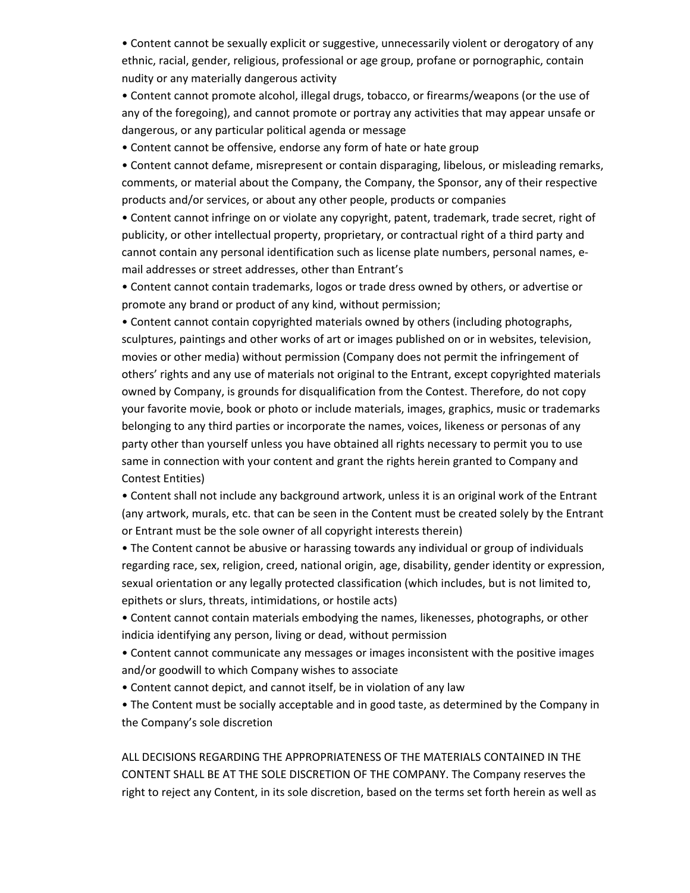• Content cannot be sexually explicit or suggestive, unnecessarily violent or derogatory of any ethnic, racial, gender, religious, professional or age group, profane or pornographic, contain nudity or any materially dangerous activity

• Content cannot promote alcohol, illegal drugs, tobacco, or firearms/weapons (or the use of any of the foregoing), and cannot promote or portray any activities that may appear unsafe or dangerous, or any particular political agenda or message

• Content cannot be offensive, endorse any form of hate or hate group

• Content cannot defame, misrepresent or contain disparaging, libelous, or misleading remarks, comments, or material about the Company, the Company, the Sponsor, any of their respective products and/or services, or about any other people, products or companies

• Content cannot infringe on or violate any copyright, patent, trademark, trade secret, right of publicity, or other intellectual property, proprietary, or contractual right of a third party and cannot contain any personal identification such as license plate numbers, personal names, e‐ mail addresses or street addresses, other than Entrant's

• Content cannot contain trademarks, logos or trade dress owned by others, or advertise or promote any brand or product of any kind, without permission;

• Content cannot contain copyrighted materials owned by others (including photographs, sculptures, paintings and other works of art or images published on or in websites, television, movies or other media) without permission (Company does not permit the infringement of others' rights and any use of materials not original to the Entrant, except copyrighted materials owned by Company, is grounds for disqualification from the Contest. Therefore, do not copy your favorite movie, book or photo or include materials, images, graphics, music or trademarks belonging to any third parties or incorporate the names, voices, likeness or personas of any party other than yourself unless you have obtained all rights necessary to permit you to use same in connection with your content and grant the rights herein granted to Company and Contest Entities)

• Content shall not include any background artwork, unless it is an original work of the Entrant (any artwork, murals, etc. that can be seen in the Content must be created solely by the Entrant or Entrant must be the sole owner of all copyright interests therein)

• The Content cannot be abusive or harassing towards any individual or group of individuals regarding race, sex, religion, creed, national origin, age, disability, gender identity or expression, sexual orientation or any legally protected classification (which includes, but is not limited to, epithets or slurs, threats, intimidations, or hostile acts)

• Content cannot contain materials embodying the names, likenesses, photographs, or other indicia identifying any person, living or dead, without permission

• Content cannot communicate any messages or images inconsistent with the positive images and/or goodwill to which Company wishes to associate

• Content cannot depict, and cannot itself, be in violation of any law

• The Content must be socially acceptable and in good taste, as determined by the Company in the Company's sole discretion

ALL DECISIONS REGARDING THE APPROPRIATENESS OF THE MATERIALS CONTAINED IN THE CONTENT SHALL BE AT THE SOLE DISCRETION OF THE COMPANY. The Company reserves the right to reject any Content, in its sole discretion, based on the terms set forth herein as well as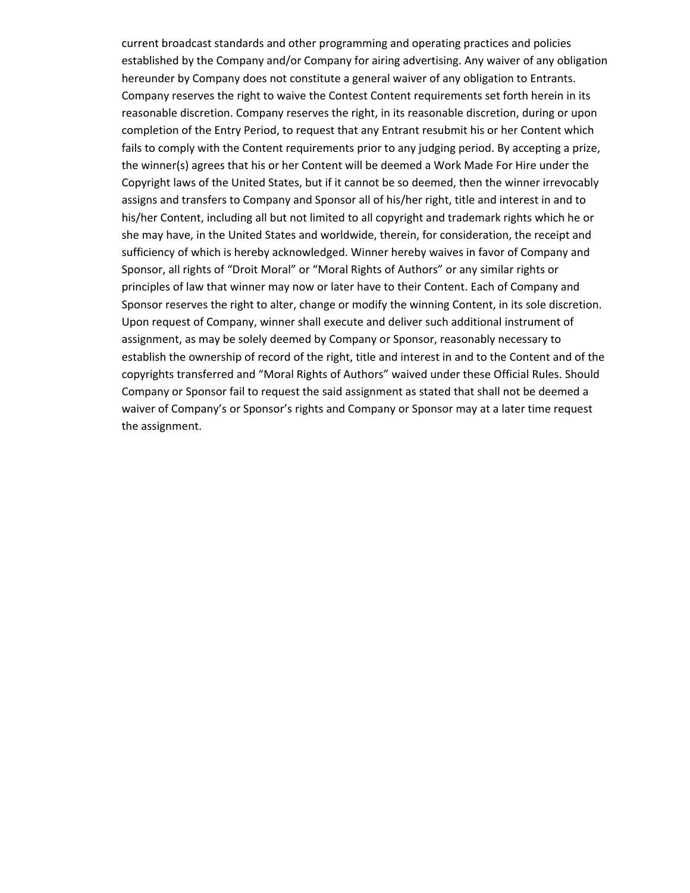current broadcast standards and other programming and operating practices and policies established by the Company and/or Company for airing advertising. Any waiver of any obligation hereunder by Company does not constitute a general waiver of any obligation to Entrants. Company reserves the right to waive the Contest Content requirements set forth herein in its reasonable discretion. Company reserves the right, in its reasonable discretion, during or upon completion of the Entry Period, to request that any Entrant resubmit his or her Content which fails to comply with the Content requirements prior to any judging period. By accepting a prize, the winner(s) agrees that his or her Content will be deemed a Work Made For Hire under the Copyright laws of the United States, but if it cannot be so deemed, then the winner irrevocably assigns and transfers to Company and Sponsor all of his/her right, title and interest in and to his/her Content, including all but not limited to all copyright and trademark rights which he or she may have, in the United States and worldwide, therein, for consideration, the receipt and sufficiency of which is hereby acknowledged. Winner hereby waives in favor of Company and Sponsor, all rights of "Droit Moral" or "Moral Rights of Authors" or any similar rights or principles of law that winner may now or later have to their Content. Each of Company and Sponsor reserves the right to alter, change or modify the winning Content, in its sole discretion. Upon request of Company, winner shall execute and deliver such additional instrument of assignment, as may be solely deemed by Company or Sponsor, reasonably necessary to establish the ownership of record of the right, title and interest in and to the Content and of the copyrights transferred and "Moral Rights of Authors" waived under these Official Rules. Should Company or Sponsor fail to request the said assignment as stated that shall not be deemed a waiver of Company's or Sponsor's rights and Company or Sponsor may at a later time request the assignment.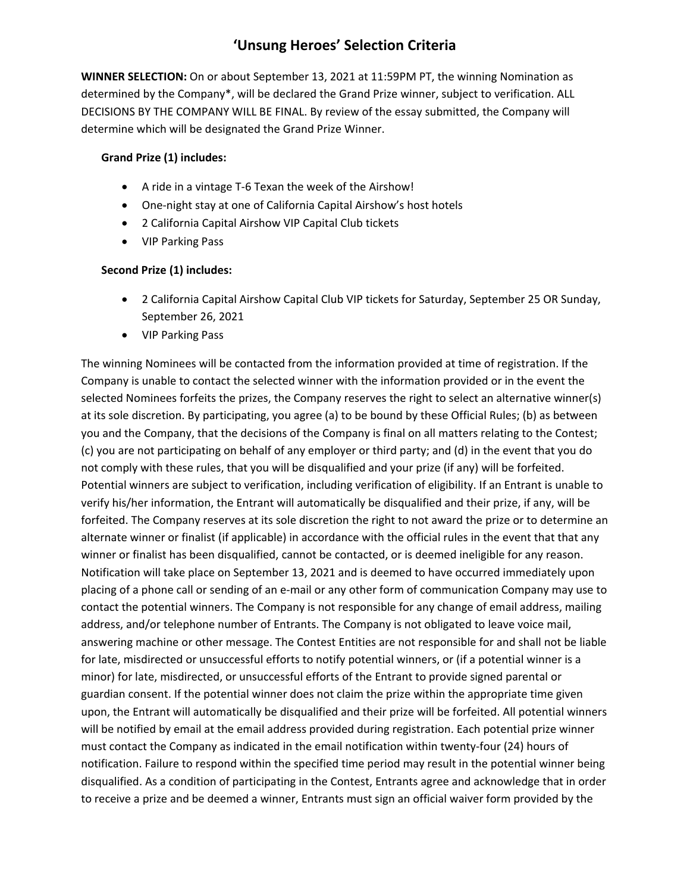# **'Unsung Heroes' Selection Criteria**

**WINNER SELECTION:** On or about September 13, 2021 at 11:59PM PT, the winning Nomination as determined by the Company\*, will be declared the Grand Prize winner, subject to verification. ALL DECISIONS BY THE COMPANY WILL BE FINAL. By review of the essay submitted, the Company will determine which will be designated the Grand Prize Winner.

### **Grand Prize (1) includes:**

- A ride in a vintage T-6 Texan the week of the Airshow!
- One-night stay at one of California Capital Airshow's host hotels
- 2 California Capital Airshow VIP Capital Club tickets
- VIP Parking Pass

## **Second Prize (1) includes:**

- 2 California Capital Airshow Capital Club VIP tickets for Saturday, September 25 OR Sunday, September 26, 2021
- VIP Parking Pass

The winning Nominees will be contacted from the information provided at time of registration. If the Company is unable to contact the selected winner with the information provided or in the event the selected Nominees forfeits the prizes, the Company reserves the right to select an alternative winner(s) at its sole discretion. By participating, you agree (a) to be bound by these Official Rules; (b) as between you and the Company, that the decisions of the Company is final on all matters relating to the Contest; (c) you are not participating on behalf of any employer or third party; and (d) in the event that you do not comply with these rules, that you will be disqualified and your prize (if any) will be forfeited. Potential winners are subject to verification, including verification of eligibility. If an Entrant is unable to verify his/her information, the Entrant will automatically be disqualified and their prize, if any, will be forfeited. The Company reserves at its sole discretion the right to not award the prize or to determine an alternate winner or finalist (if applicable) in accordance with the official rules in the event that that any winner or finalist has been disqualified, cannot be contacted, or is deemed ineligible for any reason. Notification will take place on September 13, 2021 and is deemed to have occurred immediately upon placing of a phone call or sending of an e‐mail or any other form of communication Company may use to contact the potential winners. The Company is not responsible for any change of email address, mailing address, and/or telephone number of Entrants. The Company is not obligated to leave voice mail, answering machine or other message. The Contest Entities are not responsible for and shall not be liable for late, misdirected or unsuccessful efforts to notify potential winners, or (if a potential winner is a minor) for late, misdirected, or unsuccessful efforts of the Entrant to provide signed parental or guardian consent. If the potential winner does not claim the prize within the appropriate time given upon, the Entrant will automatically be disqualified and their prize will be forfeited. All potential winners will be notified by email at the email address provided during registration. Each potential prize winner must contact the Company as indicated in the email notification within twenty‐four (24) hours of notification. Failure to respond within the specified time period may result in the potential winner being disqualified. As a condition of participating in the Contest, Entrants agree and acknowledge that in order to receive a prize and be deemed a winner, Entrants must sign an official waiver form provided by the